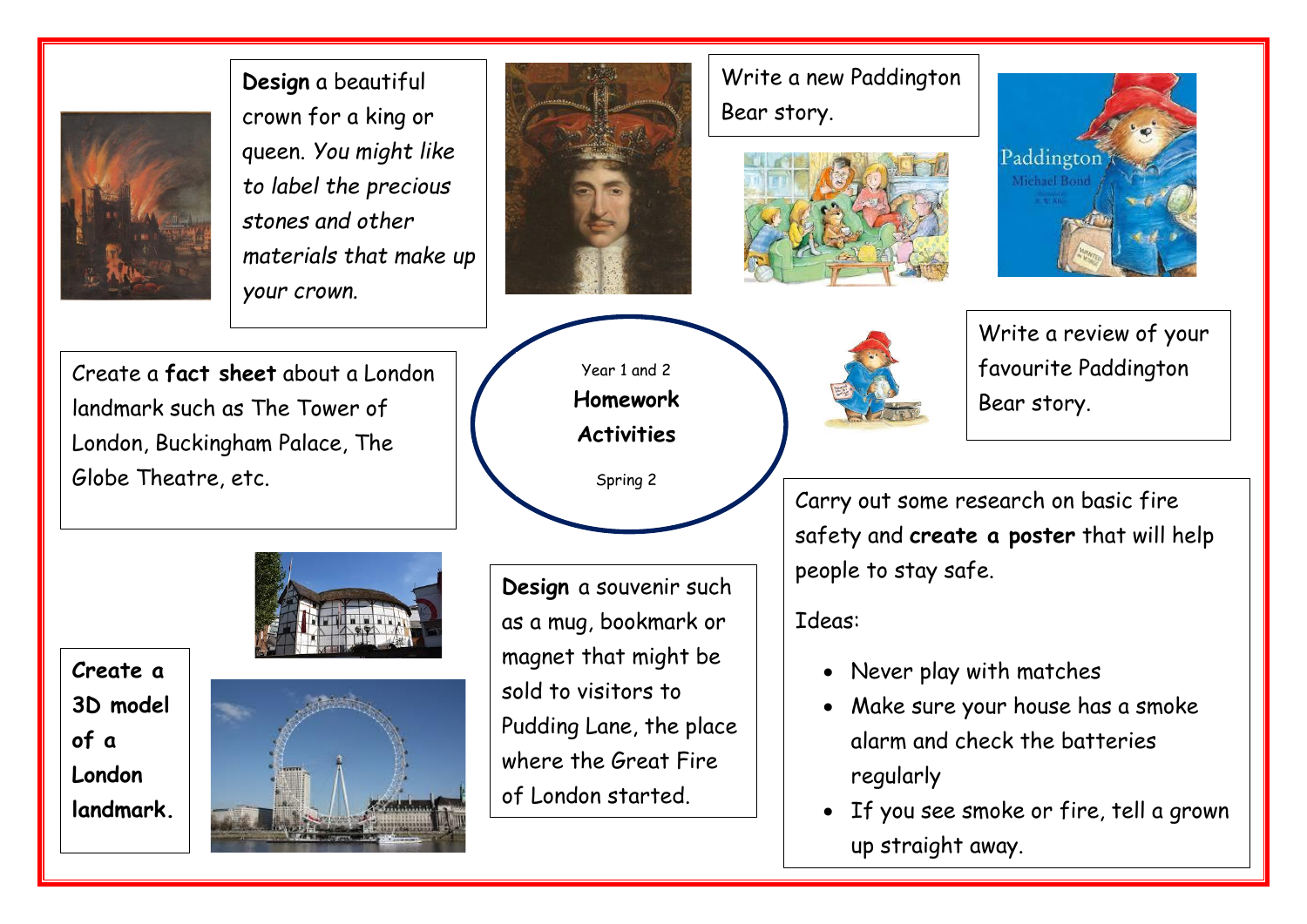